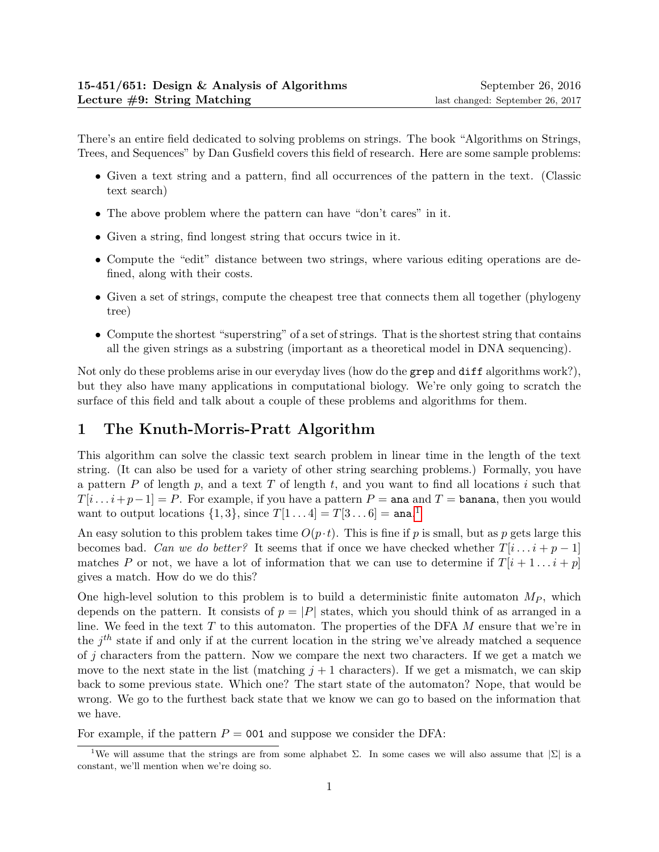There's an entire field dedicated to solving problems on strings. The book "Algorithms on Strings, Trees, and Sequences" by Dan Gusfield covers this field of research. Here are some sample problems:

- Given a text string and a pattern, find all occurrences of the pattern in the text. (Classic text search)
- The above problem where the pattern can have "don't cares" in it.
- Given a string, find longest string that occurs twice in it.
- Compute the "edit" distance between two strings, where various editing operations are defined, along with their costs.
- Given a set of strings, compute the cheapest tree that connects them all together (phylogeny tree)
- Compute the shortest "superstring" of a set of strings. That is the shortest string that contains all the given strings as a substring (important as a theoretical model in DNA sequencing).

Not only do these problems arise in our everyday lives (how do the grep and diff algorithms work?), but they also have many applications in computational biology. We're only going to scratch the surface of this field and talk about a couple of these problems and algorithms for them.

# 1 The Knuth-Morris-Pratt Algorithm

This algorithm can solve the classic text search problem in linear time in the length of the text string. (It can also be used for a variety of other string searching problems.) Formally, you have a pattern  $P$  of length  $p$ , and a text  $T$  of length  $t$ , and you want to find all locations i such that  $T[i \dots i+p-1] = P$ . For example, if you have a pattern  $P = \text{ana}$  and  $T = \text{banana}$ , then you would want to output locations  $\{1,3\}$  $\{1,3\}$  $\{1,3\}$ , since  $T[1\ldots4] = T[3\ldots6] = \texttt{ana}.^1$ 

An easy solution to this problem takes time  $O(p \cdot t)$ . This is fine if p is small, but as p gets large this becomes bad. Can we do better? It seems that if once we have checked whether  $T[i \dots i + p - 1]$ matches P or not, we have a lot of information that we can use to determine if  $T[i + 1 \dots i + p]$ gives a match. How do we do this?

One high-level solution to this problem is to build a deterministic finite automaton  $M_P$ , which depends on the pattern. It consists of  $p = |P|$  states, which you should think of as arranged in a line. We feed in the text  $T$  to this automaton. The properties of the DFA  $M$  ensure that we're in the  $j<sup>th</sup>$  state if and only if at the current location in the string we've already matched a sequence of j characters from the pattern. Now we compare the next two characters. If we get a match we move to the next state in the list (matching  $j + 1$  characters). If we get a mismatch, we can skip back to some previous state. Which one? The start state of the automaton? Nope, that would be wrong. We go to the furthest back state that we know we can go to based on the information that we have.

For example, if the pattern  $P = 001$  and suppose we consider the DFA:

<span id="page-0-0"></span><sup>&</sup>lt;sup>1</sup>We will assume that the strings are from some alphabet  $\Sigma$ . In some cases we will also assume that  $|\Sigma|$  is a constant, we'll mention when we're doing so.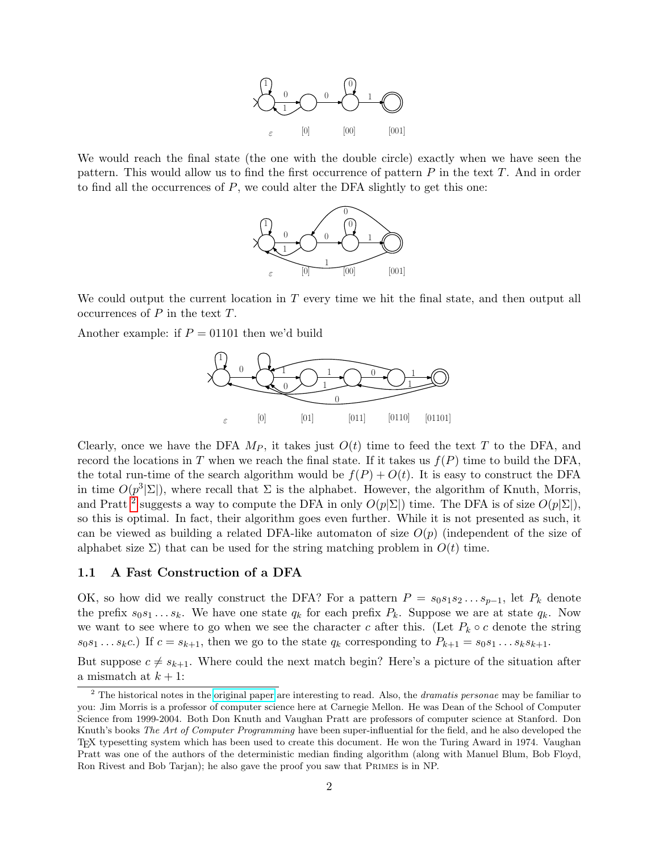

We would reach the final state (the one with the double circle) exactly when we have seen the pattern. This would allow us to find the first occurrence of pattern  $P$  in the text  $T$ . And in order to find all the occurrences of  $P$ , we could alter the DFA slightly to get this one:



We could output the current location in  $T$  every time we hit the final state, and then output all occurrences of  $P$  in the text  $T$ .

Another example: if  $P = 01101$  then we'd build



Clearly, once we have the DFA  $M_P$ , it takes just  $O(t)$  time to feed the text T to the DFA, and record the locations in T when we reach the final state. If it takes us  $f(P)$  time to build the DFA, the total run-time of the search algorithm would be  $f(P) + O(t)$ . It is easy to construct the DFA in time  $O(p^3|\Sigma|)$ , where recall that  $\Sigma$  is the alphabet. However, the algorithm of Knuth, Morris, and Pratt<sup>[2](#page-1-0)</sup> suggests a way to compute the DFA in only  $O(p|\Sigma|)$  time. The DFA is of size  $O(p|\Sigma|)$ , so this is optimal. In fact, their algorithm goes even further. While it is not presented as such, it can be viewed as building a related DFA-like automaton of size  $O(p)$  (independent of the size of alphabet size  $\Sigma$ ) that can be used for the string matching problem in  $O(t)$  time.

#### 1.1 A Fast Construction of a DFA

OK, so how did we really construct the DFA? For a pattern  $P = s_0 s_1 s_2 \dots s_{p-1}$ , let  $P_k$  denote the prefix  $s_0s_1 \ldots s_k$ . We have one state  $q_k$  for each prefix  $P_k$ . Suppose we are at state  $q_k$ . Now we want to see where to go when we see the character c after this. (Let  $P_k \circ c$  denote the string  $s_0s_1 \ldots s_kc$ .) If  $c = s_{k+1}$ , then we go to the state  $q_k$  corresponding to  $P_{k+1} = s_0s_1 \ldots s_ks_{k+1}$ .

But suppose  $c \neq s_{k+1}$ . Where could the next match begin? Here's a picture of the situation after a mismatch at  $k + 1$ :

<span id="page-1-0"></span> $2$  The historical notes in the [original paper](http://dx.doi.org/10.1137/0206024) are interesting to read. Also, the *dramatis personae* may be familiar to you: Jim Morris is a professor of computer science here at Carnegie Mellon. He was Dean of the School of Computer Science from 1999-2004. Both Don Knuth and Vaughan Pratt are professors of computer science at Stanford. Don Knuth's books The Art of Computer Programming have been super-influential for the field, and he also developed the TEX typesetting system which has been used to create this document. He won the Turing Award in 1974. Vaughan Pratt was one of the authors of the deterministic median finding algorithm (along with Manuel Blum, Bob Floyd, Ron Rivest and Bob Tarjan); he also gave the proof you saw that Primes is in NP.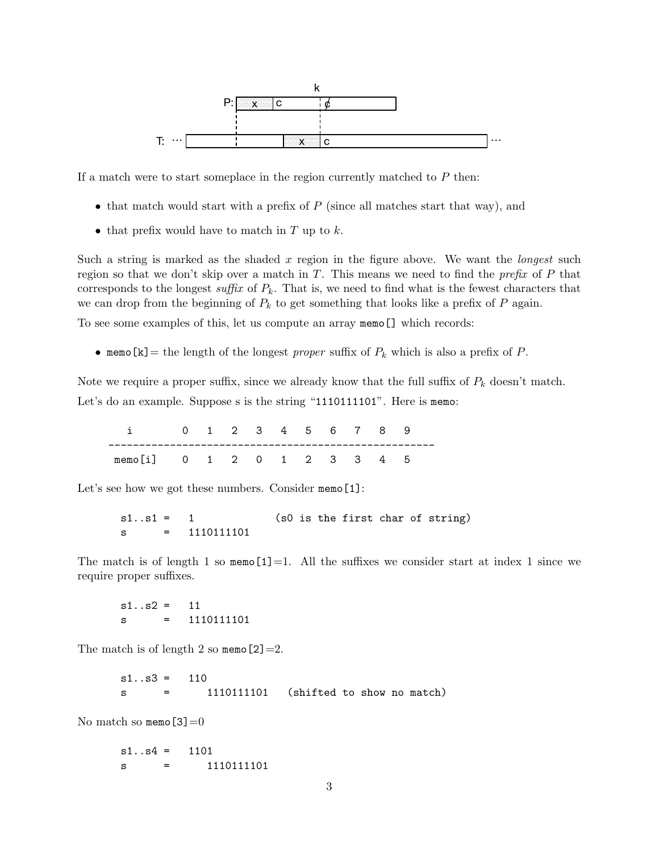

If a match were to start someplace in the region currently matched to  $P$  then:

- that match would start with a prefix of  $P$  (since all matches start that way), and
- that prefix would have to match in  $T$  up to  $k$ .

Such a string is marked as the shaded  $x$  region in the figure above. We want the *longest* such region so that we don't skip over a match in  $T$ . This means we need to find the *prefix* of  $P$  that corresponds to the longest suffix of  $P_k$ . That is, we need to find what is the fewest characters that we can drop from the beginning of  $P_k$  to get something that looks like a prefix of P again.

To see some examples of this, let us compute an array memo[] which records:

• memo[k] = the length of the longest proper suffix of  $P_k$  which is also a prefix of P.

Note we require a proper suffix, since we already know that the full suffix of  $P_k$  doesn't match. Let's do an example. Suppose s is the string "1110111101". Here is memo:

i 0 1 2 3 4 5 6 7 8 9 ---------------------------------------------------- memo[i] 0 1 2 0 1 2 3 3 4 5

Let's see how we got these numbers. Consider memo[1]:

s1..s1 = 1 (s0 is the first char of string) s = 1110111101

The match is of length 1 so memo[1]=1. All the suffixes we consider start at index 1 since we require proper suffixes.

 $s1..s2 = 11$ s = 1110111101

The match is of length 2 so memo $[2]=2$ .

 $s1..s3 = 110$ s = 1110111101 (shifted to show no match)

No match so memo $[3]=0$ 

 $s1..s4 = 1101$  $s = 1110111101$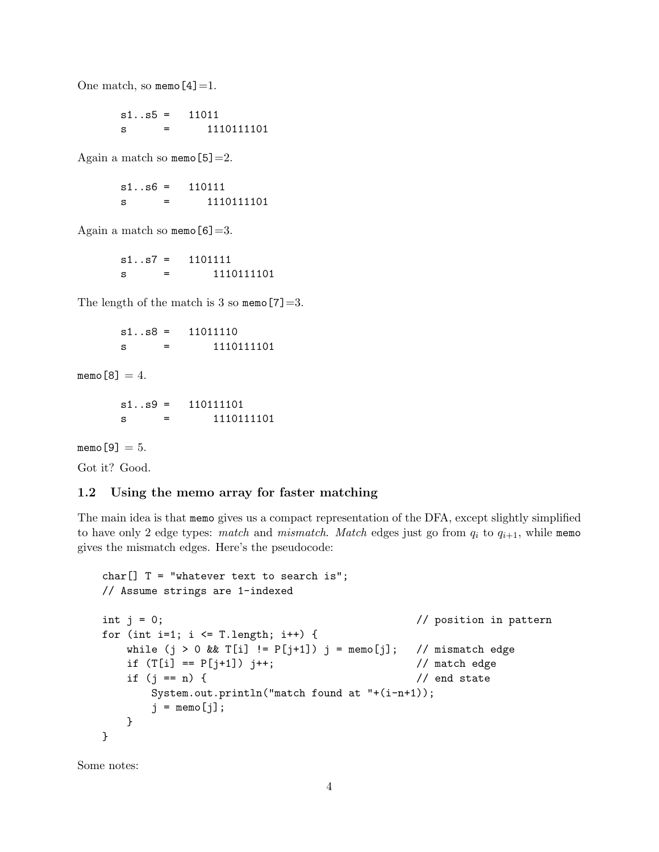One match, so memo $[4]=1$ .

 $s1..s5 = 11011$ s = 1110111101

Again a match so memo $[5]=2$ .

 $s1..s6 = 110111$ s = 1110111101

Again a match so memo $[6]=3$ .

s1..s7 = 1101111 s = 1110111101

The length of the match is 3 so memo[7]=3.

 $s1..s8 = 11011110$ s = 1110111101

memo $[8] = 4$ .

s1..s9 = 110111101 s = 1110111101

memo $[9] = 5$ .

Got it? Good.

## 1.2 Using the memo array for faster matching

The main idea is that memo gives us a compact representation of the DFA, except slightly simplified to have only 2 edge types: match and mismatch. Match edges just go from  $q_i$  to  $q_{i+1}$ , while memo gives the mismatch edges. Here's the pseudocode:

```
char[] T = "whatever text to search is";
// Assume strings are 1-indexed
int j = 0; \frac{1}{2} // position in pattern
for (int i=1; i \leq T.length; i++) {
   while (j > 0 && T[i] != P[j+1]) j = \text{memo}[j]; // mismatch edge
   if (T[i] == P[j+1]) j++; // match edge
   if (j == n) { // end state
      System.out.println("match found at "+(i-n+1));
      j = \text{memo}[j];}
}
```
Some notes: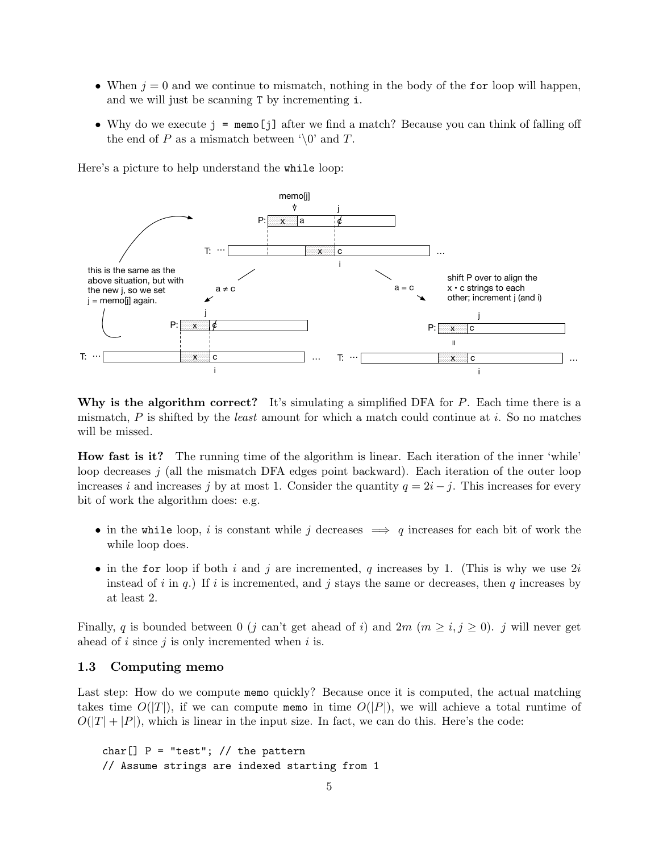- When  $j = 0$  and we continue to mismatch, nothing in the body of the for loop will happen, and we will just be scanning T by incrementing i.
- Why do we execute j = memo[j] after we find a match? Because you can think of falling off the end of P as a mismatch between  $\Diamond$  and T.

Here's a picture to help understand the while loop:



Why is the algorithm correct? It's simulating a simplified DFA for  $P$ . Each time there is a mismatch,  $P$  is shifted by the *least* amount for which a match could continue at i. So no matches will be missed.

How fast is it? The running time of the algorithm is linear. Each iteration of the inner 'while' loop decreases  $j$  (all the mismatch DFA edges point backward). Each iteration of the outer loop increases i and increases j by at most 1. Consider the quantity  $q = 2i - j$ . This increases for every bit of work the algorithm does: e.g.

- in the while loop, i is constant while j decreases  $\implies q$  increases for each bit of work the while loop does.
- in the for loop if both i and j are incremented, q increases by 1. (This is why we use  $2i$ instead of i in q.) If i is incremented, and j stays the same or decreases, then q increases by at least 2.

Finally, q is bounded between 0 (j can't get ahead of i) and  $2m$  ( $m \ge i, j \ge 0$ ). j will never get ahead of  $i$  since  $j$  is only incremented when  $i$  is.

### 1.3 Computing memo

Last step: How do we compute memo quickly? Because once it is computed, the actual matching takes time  $O(|T|)$ , if we can compute memo in time  $O(|P|)$ , we will achieve a total runtime of  $O(|T| + |P|)$ , which is linear in the input size. In fact, we can do this. Here's the code:

```
char[] P = "test"; // the pattern// Assume strings are indexed starting from 1
```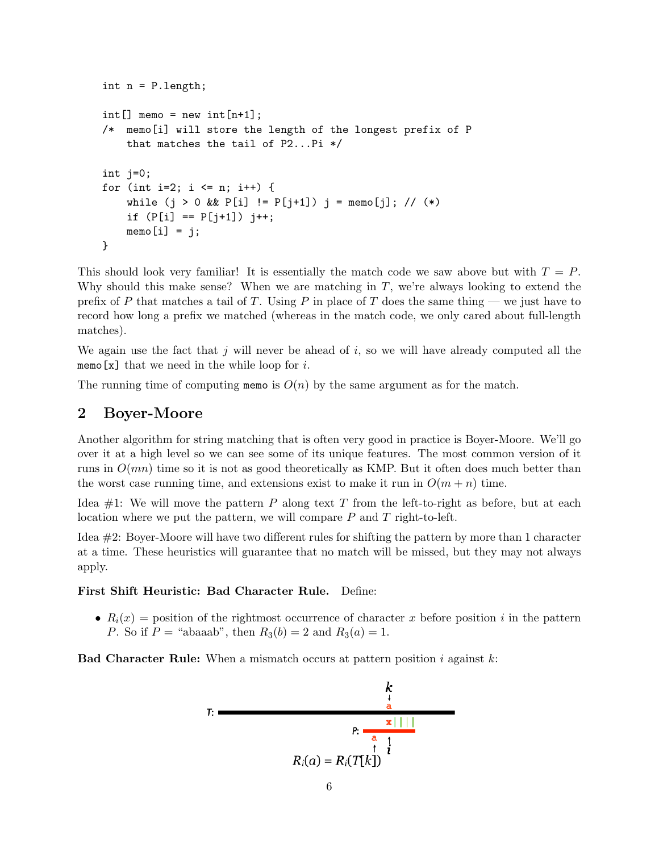```
int n = P.length;
int[] memo = new int[n+1];
/* memo[i] will store the length of the longest prefix of P
    that matches the tail of P2...P1 */
int j=0;
for (int i=2; i \le n; i++) {
    while (j > 0 \& R[i] := P[j+1]) j = \text{memo[j]; // (*)}if (P[i] == P[j+1]) j++;
    memo[i] = i;}
```
This should look very familiar! It is essentially the match code we saw above but with  $T = P$ . Why should this make sense? When we are matching in  $T$ , we're always looking to extend the prefix of P that matches a tail of T. Using P in place of T does the same thing — we just have to record how long a prefix we matched (whereas in the match code, we only cared about full-length matches).

We again use the fact that  $j$  will never be ahead of  $i$ , so we will have already computed all the memo[x] that we need in the while loop for  $i$ .

The running time of computing memo is  $O(n)$  by the same argument as for the match.

## 2 Boyer-Moore

Another algorithm for string matching that is often very good in practice is Boyer-Moore. We'll go over it at a high level so we can see some of its unique features. The most common version of it runs in  $O(mn)$  time so it is not as good theoretically as KMP. But it often does much better than the worst case running time, and extensions exist to make it run in  $O(m + n)$  time.

Idea  $\#1$ : We will move the pattern P along text T from the left-to-right as before, but at each location where we put the pattern, we will compare  $P$  and  $T$  right-to-left.

Idea #2: Boyer-Moore will have two different rules for shifting the pattern by more than 1 character at a time. These heuristics will guarantee that no match will be missed, but they may not always apply.

### First Shift Heuristic: Bad Character Rule. Define:

•  $R_i(x)$  = position of the rightmost occurrence of character x before position i in the pattern P. So if  $P =$  "abaaab", then  $R_3(b) = 2$  and  $R_3(a) = 1$ .

**Bad Character Rule:** When a mismatch occurs at pattern position i against  $k$ :

$$
T: \frac{k}{\frac{a}{a}}
$$
\n
$$
P: \frac{x}{\frac{a}{a} + \frac{1}{i}}
$$
\n
$$
R_i(a) = R_i(T[k])
$$